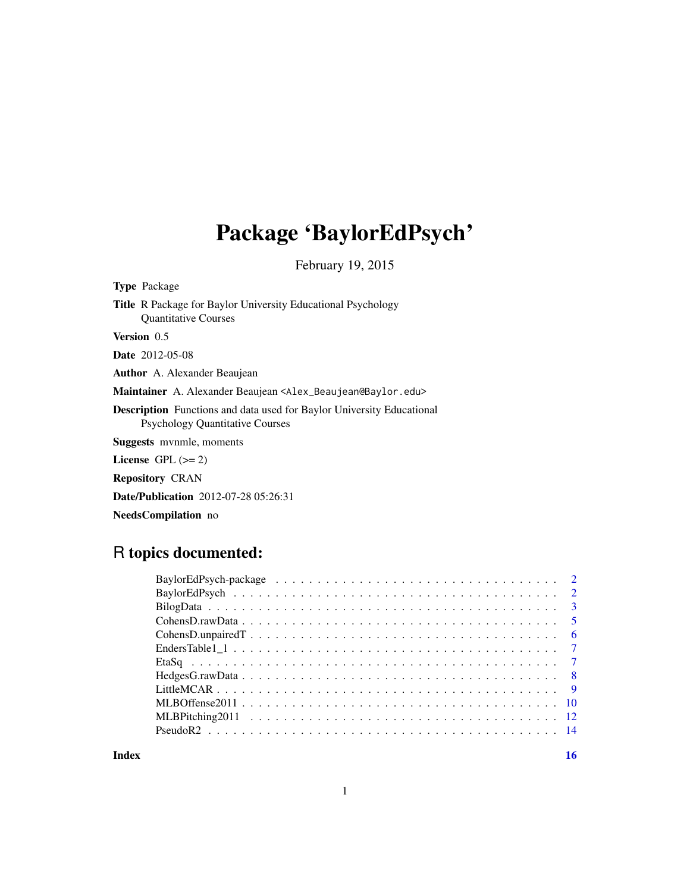# Package 'BaylorEdPsych'

February 19, 2015

<span id="page-0-0"></span>

| <b>Type Package</b>                                                                                                    |
|------------------------------------------------------------------------------------------------------------------------|
| <b>Title</b> R Package for Baylor University Educational Psychology<br><b>Ouantitative Courses</b>                     |
| Version 0.5                                                                                                            |
| <b>Date</b> 2012-05-08                                                                                                 |
| <b>Author</b> A. Alexander Beaujean                                                                                    |
| Maintainer A. Alexander Beaujean <alex_beaujean@baylor.edu></alex_beaujean@baylor.edu>                                 |
| <b>Description</b> Functions and data used for Baylor University Educational<br><b>Psychology Quantitative Courses</b> |
| <b>Suggests</b> mynmle, moments                                                                                        |
| License $GPL (= 2)$                                                                                                    |
| <b>Repository CRAN</b>                                                                                                 |
|                                                                                                                        |

Date/Publication 2012-07-28 05:26:31

NeedsCompilation no

## R topics documented:

**Index** and the contract of the contract of the contract of the contract of the contract of the contract of the contract of the contract of the contract of the contract of the contract of the contract of the contract of th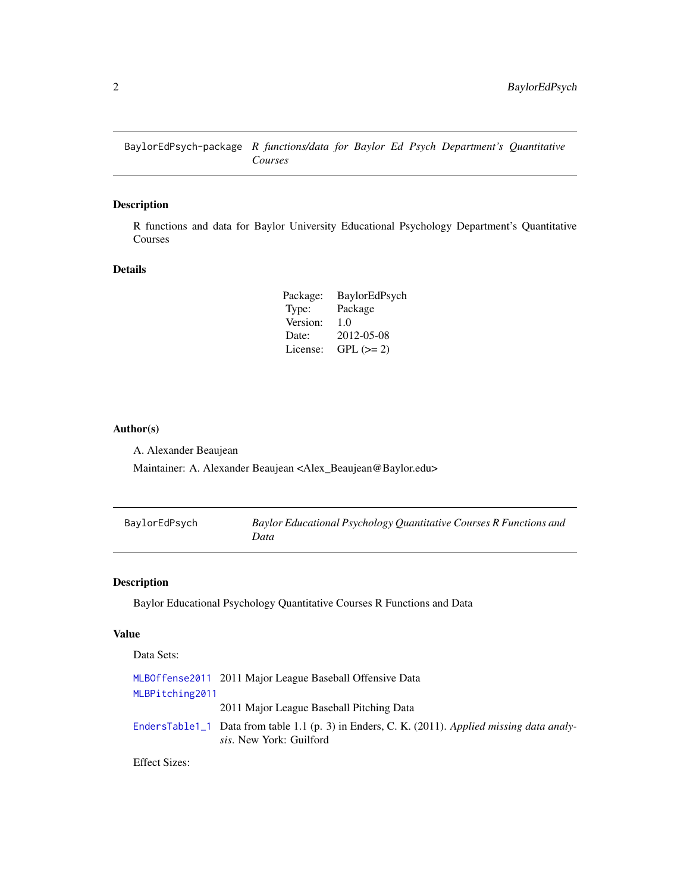<span id="page-1-0"></span>BaylorEdPsych-package *R functions/data for Baylor Ed Psych Department's Quantitative Courses*

## Description

R functions and data for Baylor University Educational Psychology Department's Quantitative Courses

## Details

| Package: | BaylorEdPsych |
|----------|---------------|
| Type:    | Package       |
| Version: | 1.0           |
| Date:    | 2012-05-08    |
| License: | $GPL (= 2)$   |

#### Author(s)

A. Alexander Beaujean

Maintainer: A. Alexander Beaujean <Alex\_Beaujean@Baylor.edu>

| BaylorEdPsych | Baylor Educational Psychology Quantitative Courses R Functions and |
|---------------|--------------------------------------------------------------------|
|               | Data                                                               |

## Description

Baylor Educational Psychology Quantitative Courses R Functions and Data

#### Value

Data Sets:

|                 | MLBOffense2011 2011 Major League Baseball Offensive Data                                                                         |
|-----------------|----------------------------------------------------------------------------------------------------------------------------------|
| MLBPitching2011 |                                                                                                                                  |
|                 | 2011 Major League Baseball Pitching Data                                                                                         |
|                 | EndersTable1_1 Data from table 1.1 (p. 3) in Enders, C. K. (2011). Applied missing data analy-<br><i>sis.</i> New York: Guilford |

Effect Sizes: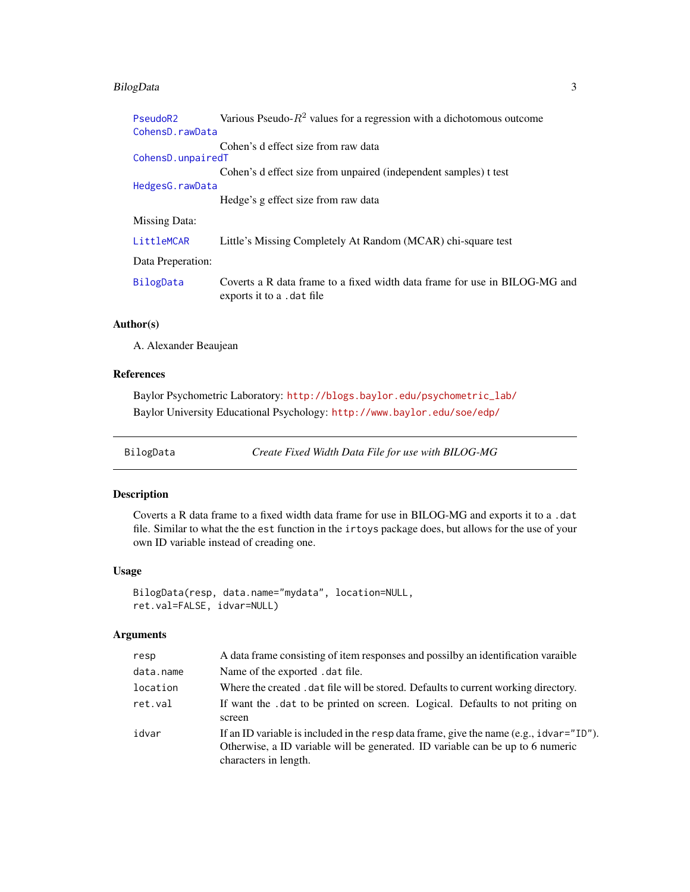## <span id="page-2-0"></span>BilogData 3

| PseudoR2             | Various Pseudo- $R^2$ values for a regression with a dichotomous outcome                                 |
|----------------------|----------------------------------------------------------------------------------------------------------|
| CohensD.rawData      |                                                                                                          |
| CohensD.unpairedT    | Cohen's d effect size from raw data                                                                      |
|                      | Cohen's d effect size from unpaired (independent samples) t test                                         |
| HedgesG.rawData      |                                                                                                          |
|                      | Hedge's g effect size from raw data                                                                      |
| <b>Missing Data:</b> |                                                                                                          |
| LittleMCAR           | Little's Missing Completely At Random (MCAR) chi-square test                                             |
| Data Preperation:    |                                                                                                          |
| BilogData            | Coverts a R data frame to a fixed width data frame for use in BILOG-MG and<br>exports it to a . dat file |

## Author(s)

A. Alexander Beaujean

## References

Baylor Psychometric Laboratory: [http://blogs.baylor.edu/psychometric\\_lab/](http://blogs.baylor.edu/psychometric_lab/) Baylor University Educational Psychology: <http://www.baylor.edu/soe/edp/>

<span id="page-2-1"></span>BilogData *Create Fixed Width Data File for use with BILOG-MG*

#### Description

Coverts a R data frame to a fixed width data frame for use in BILOG-MG and exports it to a .dat file. Similar to what the the est function in the irtoys package does, but allows for the use of your own ID variable instead of creading one.

### Usage

```
BilogData(resp, data.name="mydata", location=NULL,
ret.val=FALSE, idvar=NULL)
```
#### Arguments

| resp      | A data frame consisting of item responses and possilby an identification varaible                                                                                                                         |
|-----------|-----------------------------------------------------------------------------------------------------------------------------------------------------------------------------------------------------------|
| data.name | Name of the exported . dat file.                                                                                                                                                                          |
| location  | Where the created . dat file will be stored. Defaults to current working directory.                                                                                                                       |
| ret.val   | If want the .dat to be printed on screen. Logical. Defaults to not priting on<br>screen                                                                                                                   |
| idvar     | If an ID variable is included in the resp data frame, give the name (e.g., $i$ dvar=" $ID$ ").<br>Otherwise, a ID variable will be generated. ID variable can be up to 6 numeric<br>characters in length. |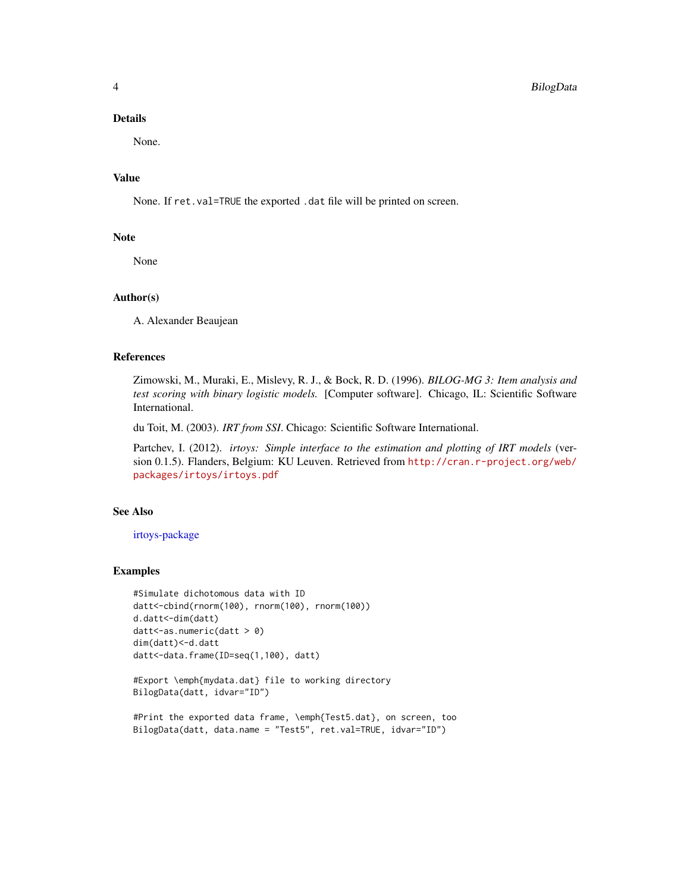#### <span id="page-3-0"></span>Details

None.

#### Value

None. If ret.val=TRUE the exported .dat file will be printed on screen.

#### Note

None

#### Author(s)

A. Alexander Beaujean

#### References

Zimowski, M., Muraki, E., Mislevy, R. J., & Bock, R. D. (1996). *BILOG-MG 3: Item analysis and test scoring with binary logistic models.* [Computer software]. Chicago, IL: Scientific Software International.

du Toit, M. (2003). *IRT from SSI*. Chicago: Scientific Software International.

Partchev, I. (2012). *irtoys: Simple interface to the estimation and plotting of IRT models* (version 0.1.5). Flanders, Belgium: KU Leuven. Retrieved from [http://cran.r-project.org/web/](http://cran.r-project.org/web/packages/irtoys/irtoys.pdf) [packages/irtoys/irtoys.pdf](http://cran.r-project.org/web/packages/irtoys/irtoys.pdf)

#### See Also

[irtoys-package](#page-0-0)

#### Examples

```
#Simulate dichotomous data with ID
datt<-cbind(rnorm(100), rnorm(100), rnorm(100))
d.datt<-dim(datt)
datt<-as.numeric(datt > 0)
dim(datt)<-d.datt
datt<-data.frame(ID=seq(1,100), datt)
```

```
#Export \emph{mydata.dat} file to working directory
BilogData(datt, idvar="ID")
```

```
#Print the exported data frame, \emph{Test5.dat}, on screen, too
BilogData(datt, data.name = "Test5", ret.val=TRUE, idvar="ID")
```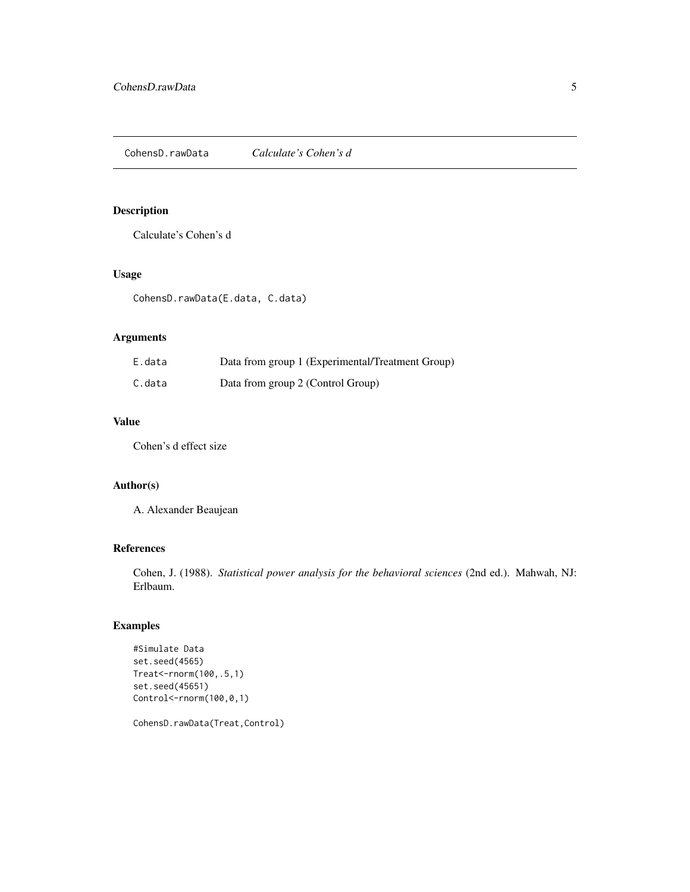## <span id="page-4-1"></span><span id="page-4-0"></span>Description

Calculate's Cohen's d

## Usage

CohensD.rawData(E.data, C.data)

## Arguments

| E.data | Data from group 1 (Experimental/Treatment Group) |
|--------|--------------------------------------------------|
| C.data | Data from group 2 (Control Group)                |

## Value

Cohen's d effect size

#### Author(s)

A. Alexander Beaujean

## References

Cohen, J. (1988). *Statistical power analysis for the behavioral sciences* (2nd ed.). Mahwah, NJ: Erlbaum.

## Examples

```
#Simulate Data
set.seed(4565)
Treat<-rnorm(100,.5,1)
set.seed(45651)
Control<-rnorm(100,0,1)
```
CohensD.rawData(Treat,Control)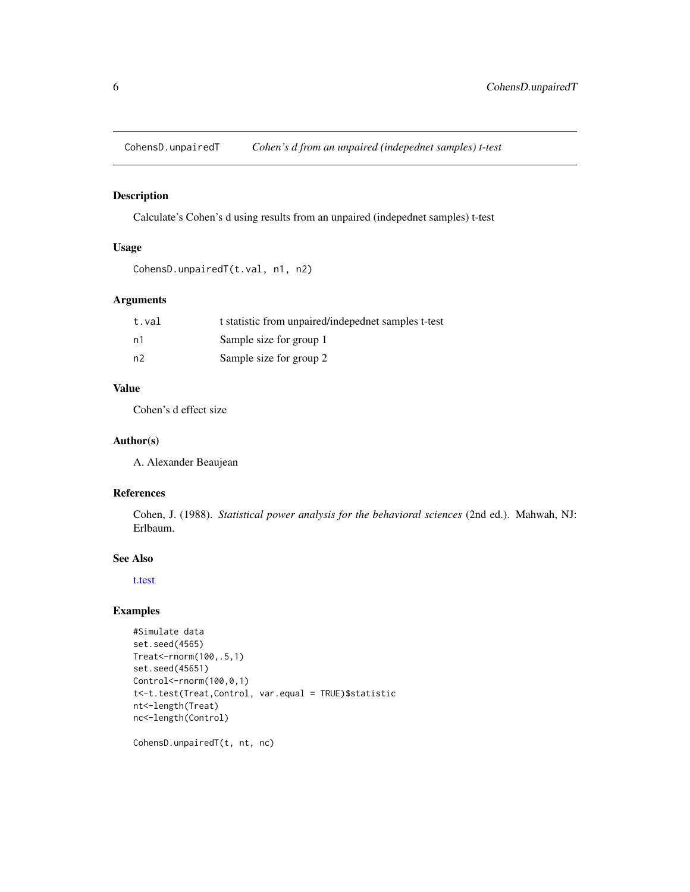<span id="page-5-1"></span><span id="page-5-0"></span>CohensD.unpairedT *Cohen's d from an unpaired (indepednet samples) t-test*

#### Description

Calculate's Cohen's d using results from an unpaired (indepednet samples) t-test

## Usage

```
CohensD.unpairedT(t.val, n1, n2)
```
## Arguments

| t.val | t statistic from unpaired/indepednet samples t-test |
|-------|-----------------------------------------------------|
| n1    | Sample size for group 1                             |
| n2    | Sample size for group 2                             |

#### Value

Cohen's d effect size

#### Author(s)

A. Alexander Beaujean

#### References

Cohen, J. (1988). *Statistical power analysis for the behavioral sciences* (2nd ed.). Mahwah, NJ: Erlbaum.

#### See Also

[t.test](#page-0-0)

## Examples

```
#Simulate data
set.seed(4565)
Treat<-rnorm(100,.5,1)
set.seed(45651)
Control<-rnorm(100,0,1)
t<-t.test(Treat,Control, var.equal = TRUE)$statistic
nt<-length(Treat)
nc<-length(Control)
```
CohensD.unpairedT(t, nt, nc)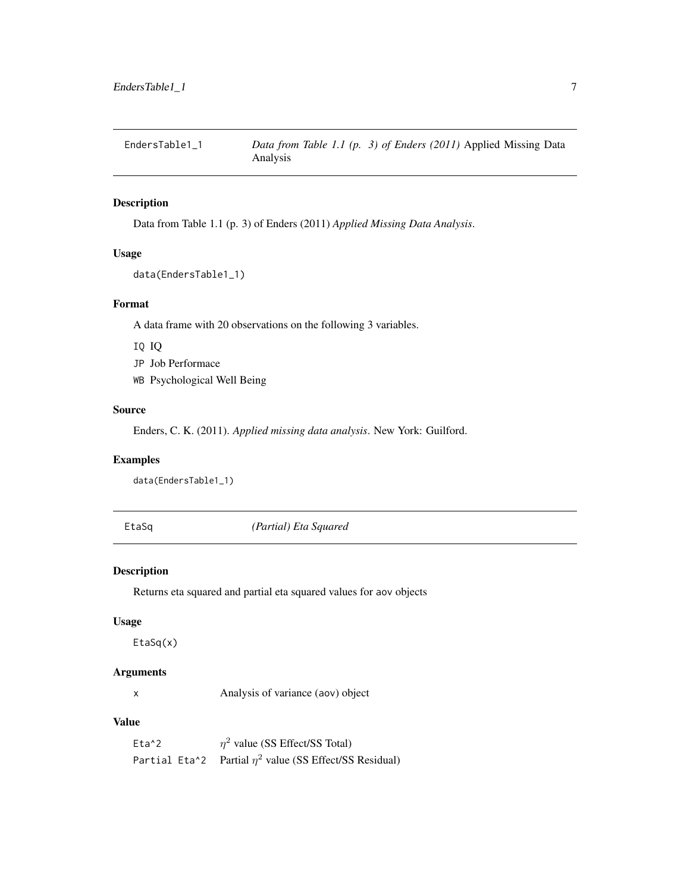<span id="page-6-1"></span><span id="page-6-0"></span>

## Description

Data from Table 1.1 (p. 3) of Enders (2011) *Applied Missing Data Analysis*.

## Usage

```
data(EndersTable1_1)
```
## Format

A data frame with 20 observations on the following 3 variables.

IQ IQ

JP Job Performace

WB Psychological Well Being

#### Source

Enders, C. K. (2011). *Applied missing data analysis*. New York: Guilford.

### Examples

data(EndersTable1\_1)

EtaSq *(Partial) Eta Squared*

#### Description

Returns eta squared and partial eta squared values for aov objects

#### Usage

EtaSq(x)

#### Arguments

x Analysis of variance (aov) object

#### Value

Eta<sup>^2</sup>  $\eta^2$  value (SS Effect/SS Total) Partial Eta^2 Partial  $\eta^2$  value (SS Effect/SS Residual)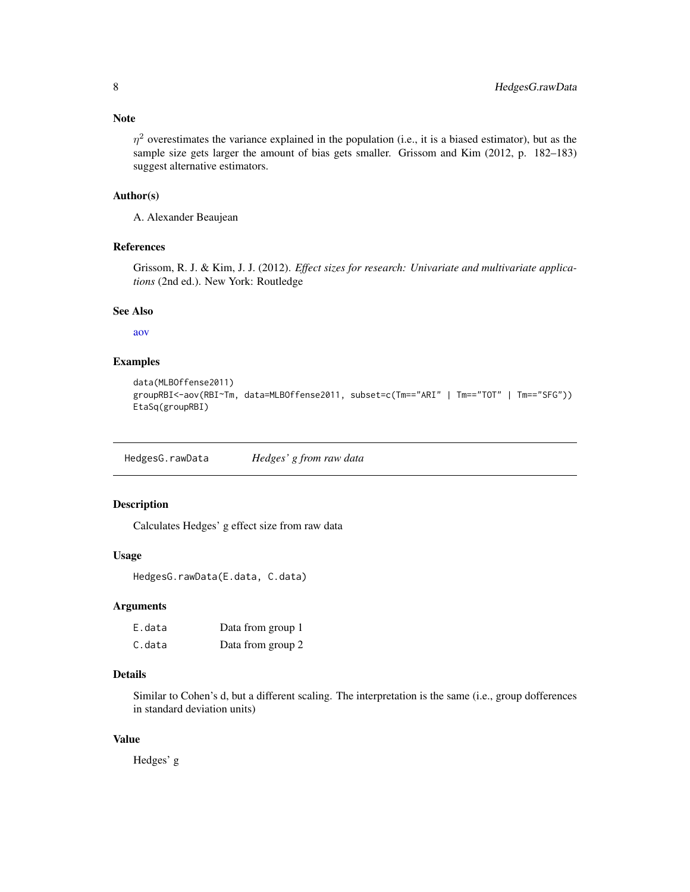<span id="page-7-0"></span> $\eta^2$  overestimates the variance explained in the population (i.e., it is a biased estimator), but as the sample size gets larger the amount of bias gets smaller. Grissom and Kim (2012, p. 182–183) suggest alternative estimators.

#### Author(s)

A. Alexander Beaujean

## References

Grissom, R. J. & Kim, J. J. (2012). *Effect sizes for research: Univariate and multivariate applications* (2nd ed.). New York: Routledge

#### See Also

[aov](#page-0-0)

## Examples

```
data(MLBOffense2011)
groupRBI<-aov(RBI~Tm, data=MLBOffense2011, subset=c(Tm=="ARI" | Tm=="TOT" | Tm=="SFG"))
EtaSq(groupRBI)
```
<span id="page-7-1"></span>HedgesG.rawData *Hedges' g from raw data*

#### Description

Calculates Hedges' g effect size from raw data

#### Usage

HedgesG.rawData(E.data, C.data)

#### Arguments

| E.data | Data from group 1 |
|--------|-------------------|
| C.data | Data from group 2 |

## Details

Similar to Cohen's d, but a different scaling. The interpretation is the same (i.e., group dofferences in standard deviation units)

### Value

Hedges' g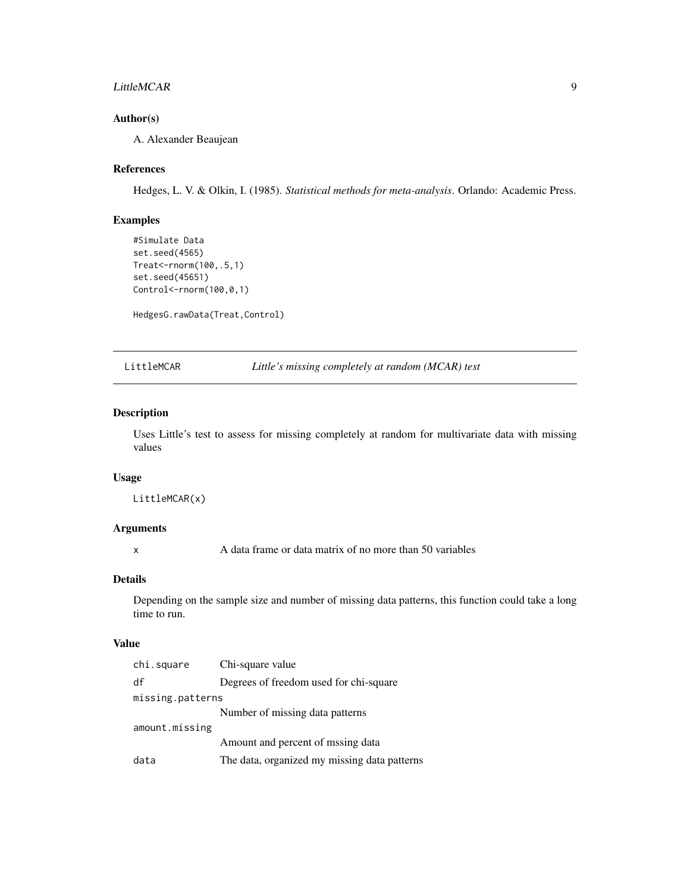#### <span id="page-8-0"></span>LittleMCAR 9

## Author(s)

A. Alexander Beaujean

#### References

Hedges, L. V. & Olkin, I. (1985). *Statistical methods for meta-analysis*. Orlando: Academic Press.

#### Examples

```
#Simulate Data
set.seed(4565)
Treat<-rnorm(100,.5,1)
set.seed(45651)
Control<-rnorm(100,0,1)
```
HedgesG.rawData(Treat,Control)

<span id="page-8-1"></span>LittleMCAR *Little's missing completely at random (MCAR) test*

#### Description

Uses Little's test to assess for missing completely at random for multivariate data with missing values

## Usage

LittleMCAR(x)

#### Arguments

x A data frame or data matrix of no more than 50 variables

#### Details

Depending on the sample size and number of missing data patterns, this function could take a long time to run.

#### Value

| chi.square       | Chi-square value                             |
|------------------|----------------------------------------------|
| df               | Degrees of freedom used for chi-square       |
| missing.patterns |                                              |
|                  | Number of missing data patterns              |
| amount.missing   |                                              |
|                  | Amount and percent of mssing data            |
| data             | The data, organized my missing data patterns |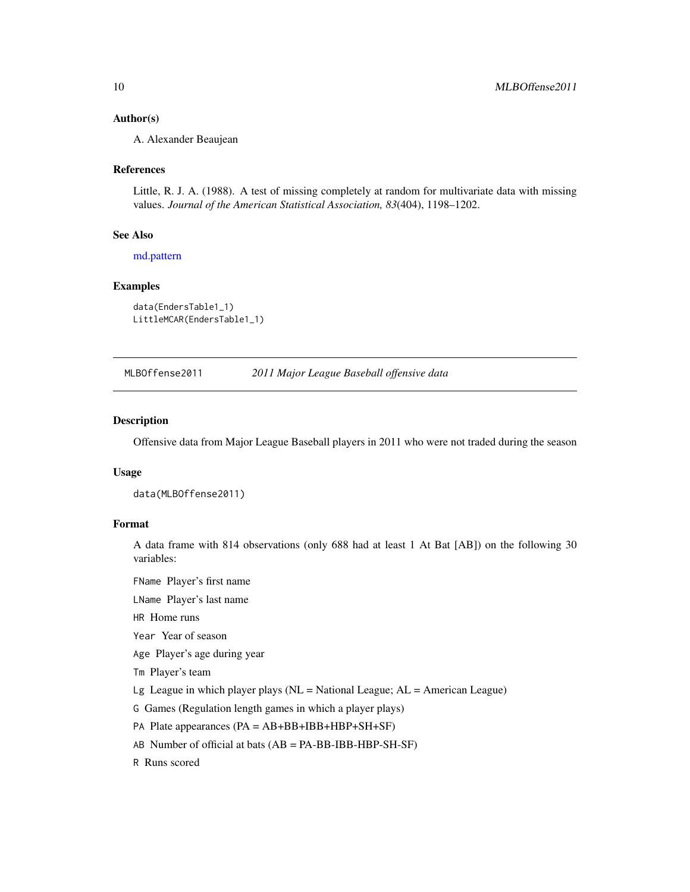#### <span id="page-9-0"></span>Author(s)

A. Alexander Beaujean

#### References

Little, R. J. A. (1988). A test of missing completely at random for multivariate data with missing values. *Journal of the American Statistical Association, 83*(404), 1198–1202.

#### See Also

[md.pattern](#page-0-0)

#### Examples

```
data(EndersTable1_1)
LittleMCAR(EndersTable1_1)
```
<span id="page-9-1"></span>MLBOffense2011 *2011 Major League Baseball offensive data*

#### Description

Offensive data from Major League Baseball players in 2011 who were not traded during the season

#### Usage

data(MLBOffense2011)

#### Format

A data frame with 814 observations (only 688 had at least 1 At Bat [AB]) on the following 30 variables:

FName Player's first name

LName Player's last name

HR Home runs

Year Year of season

Age Player's age during year

Tm Player's team

Lg League in which player plays ( $NL = National League$ ;  $AL = American League$ )

G Games (Regulation length games in which a player plays)

PA Plate appearances (PA = AB+BB+IBB+HBP+SH+SF)

AB Number of official at bats (AB = PA-BB-IBB-HBP-SH-SF)

R Runs scored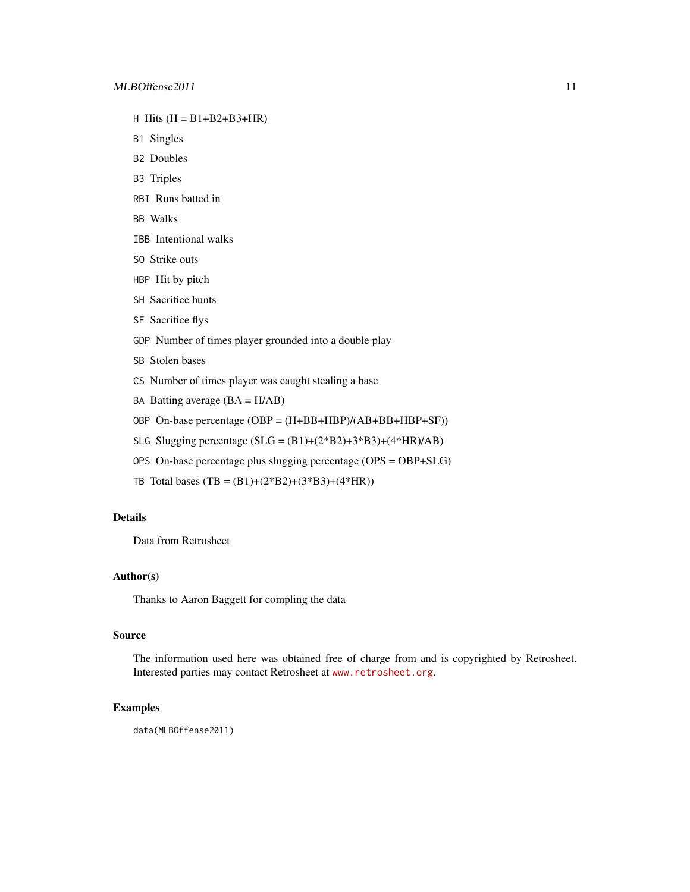- H Hits  $(H = B1+B2+B3+HR)$
- B1 Singles
- B2 Doubles
- B3 Triples
- RBI Runs batted in
- BB Walks
- IBB Intentional walks
- SO Strike outs
- HBP Hit by pitch
- SH Sacrifice bunts
- SF Sacrifice flys
- GDP Number of times player grounded into a double play
- SB Stolen bases
- CS Number of times player was caught stealing a base
- BA Batting average  $(BA = H/AB)$
- OBP On-base percentage (OBP = (H+BB+HBP)/(AB+BB+HBP+SF))
- SLG Slugging percentage  $(SLG = (B1)+(2*B2)+3*B3)+(4*HR)/AB)$
- OPS On-base percentage plus slugging percentage (OPS = OBP+SLG)
- TB Total bases  $(TB = (B1)+(2*B2)+(3*B3)+(4*HR))$

#### Details

Data from Retrosheet

## Author(s)

Thanks to Aaron Baggett for compling the data

#### Source

The information used here was obtained free of charge from and is copyrighted by Retrosheet. Interested parties may contact Retrosheet at <www.retrosheet.org>.

#### Examples

data(MLBOffense2011)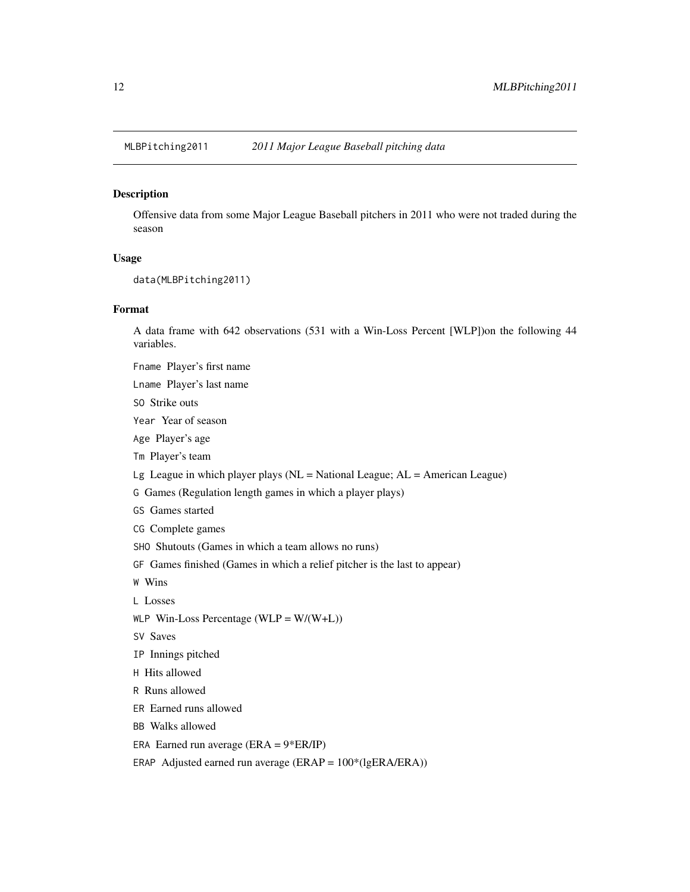<span id="page-11-1"></span><span id="page-11-0"></span>MLBPitching2011 *2011 Major League Baseball pitching data*

#### Description

Offensive data from some Major League Baseball pitchers in 2011 who were not traded during the season

#### Usage

```
data(MLBPitching2011)
```
#### Format

A data frame with 642 observations (531 with a Win-Loss Percent [WLP])on the following 44 variables.

Fname Player's first name

Lname Player's last name

SO Strike outs

Year Year of season

Age Player's age

Tm Player's team

Lg League in which player plays ( $NL = National League$ ;  $AL = American League$ )

G Games (Regulation length games in which a player plays)

GS Games started

CG Complete games

SHO Shutouts (Games in which a team allows no runs)

GF Games finished (Games in which a relief pitcher is the last to appear)

W Wins

L Losses

WLP Win-Loss Percentage (WLP =  $W/(W+L)$ )

SV Saves

IP Innings pitched

H Hits allowed

R Runs allowed

ER Earned runs allowed

BB Walks allowed

ERA Earned run average ( $ERA = 9*ER/IP$ )

ERAP Adjusted earned run average (ERAP = 100\*(lgERA/ERA))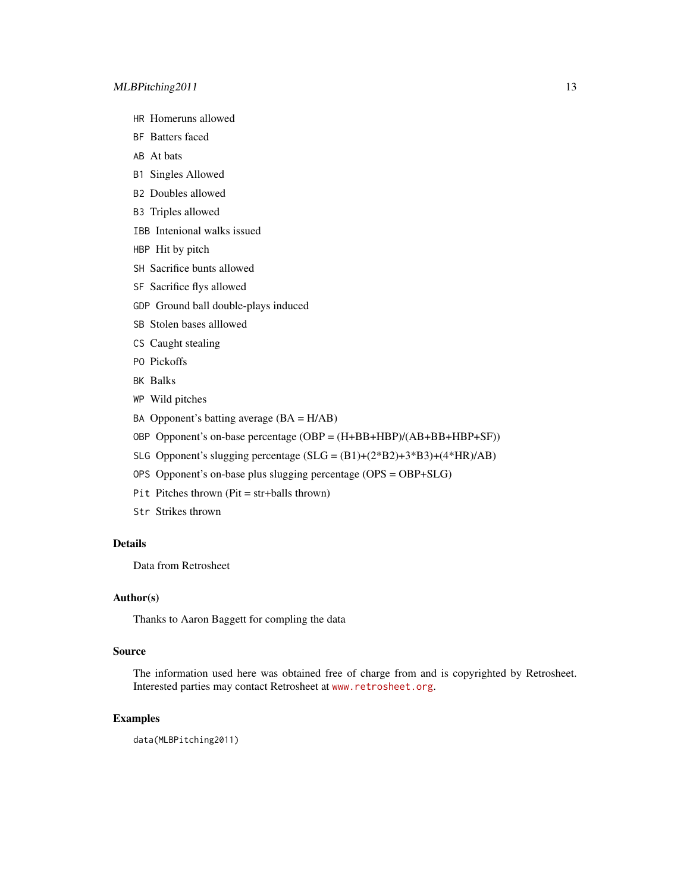- HR Homeruns allowed
- BF Batters faced
- AB At bats
- B1 Singles Allowed
- B2 Doubles allowed
- B3 Triples allowed
- IBB Intenional walks issued
- HBP Hit by pitch
- SH Sacrifice bunts allowed
- SF Sacrifice flys allowed
- GDP Ground ball double-plays induced
- SB Stolen bases alllowed
- CS Caught stealing
- PO Pickoffs
- BK Balks
- WP Wild pitches
- BA Opponent's batting average  $(BA = H/AB)$
- OBP Opponent's on-base percentage (OBP = (H+BB+HBP)/(AB+BB+HBP+SF))
- SLG Opponent's slugging percentage  $(SLG = (B1)+(2*B2)+3*B3)+(4*HR)/AB)$
- OPS Opponent's on-base plus slugging percentage (OPS = OBP+SLG)
- Pit Pitches thrown (Pit = str+balls thrown)
- Str Strikes thrown

#### Details

Data from Retrosheet

#### Author(s)

Thanks to Aaron Baggett for compling the data

#### Source

The information used here was obtained free of charge from and is copyrighted by Retrosheet. Interested parties may contact Retrosheet at <www.retrosheet.org>.

## Examples

data(MLBPitching2011)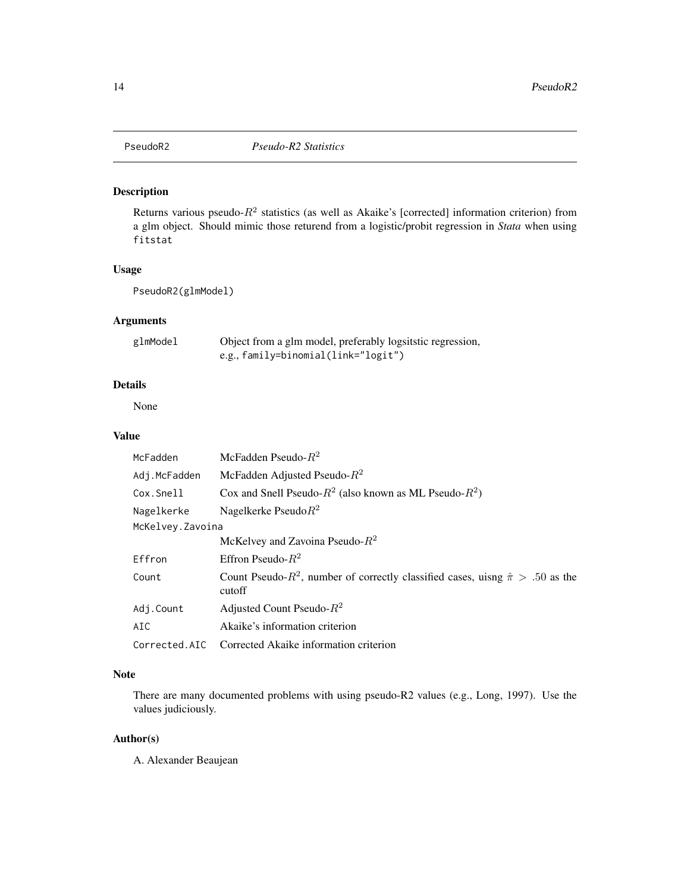<span id="page-13-1"></span><span id="page-13-0"></span>

## Description

Returns various pseudo- $R^2$  statistics (as well as Akaike's [corrected] information criterion) from a glm object. Should mimic those returend from a logistic/probit regression in *Stata* when using fitstat

#### Usage

PseudoR2(glmModel)

#### Arguments

| glmModel | Object from a glm model, preferably logsitstic regression, |
|----------|------------------------------------------------------------|
|          | e.g., $family=binomial(link="logit")$                      |

## Details

None

#### Value

| McFadden          | McFadden Pseudo- $R^2$                                                                               |
|-------------------|------------------------------------------------------------------------------------------------------|
| Adj.McFadden      | McFadden Adjusted Pseudo- $R^2$                                                                      |
| Cox.Snell         | Cox and Snell Pseudo- $R^2$ (also known as ML Pseudo- $R^2$ )                                        |
| Nagelkerke        | Nagelkerke Pseudo $R^2$                                                                              |
| McKelvey. Zavoina |                                                                                                      |
|                   | McKelvey and Zavoina Pseudo- $R^2$                                                                   |
| Effron            | Effron Pseudo- $R^2$                                                                                 |
| Count             | Count Pseudo- $R^2$ , number of correctly classified cases, uisng $\hat{\pi} > .50$ as the<br>cutoff |
| Adj.Count         | Adjusted Count Pseudo- $R^2$                                                                         |
| AIC               | Akaike's information criterion                                                                       |
| Corrected.AIC     | Corrected Akaike information criterion                                                               |

#### Note

There are many documented problems with using pseudo-R2 values (e.g., Long, 1997). Use the values judiciously.

## Author(s)

A. Alexander Beaujean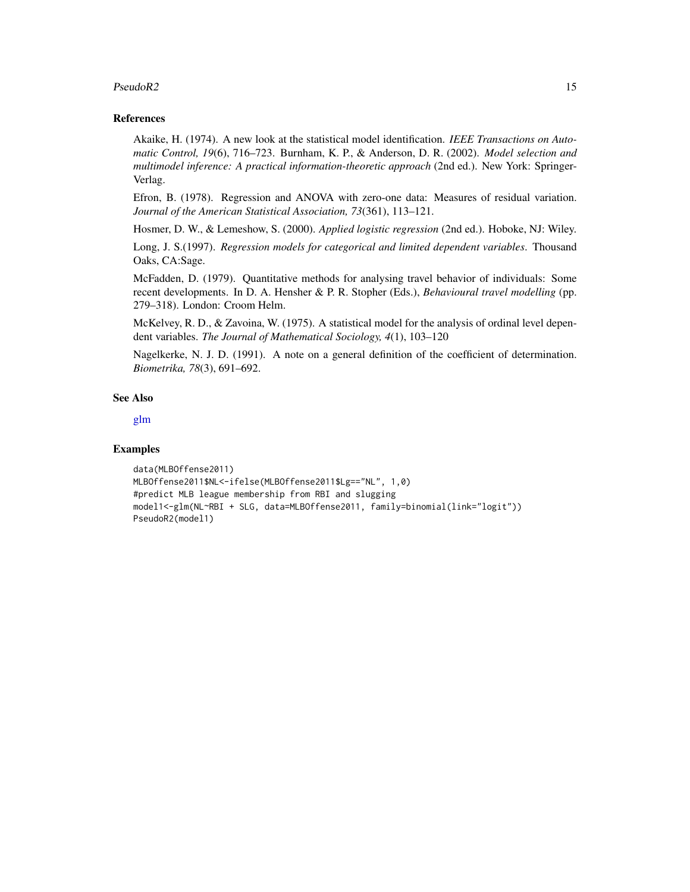#### <span id="page-14-0"></span> $PseudoR2$  15

#### References

Akaike, H. (1974). A new look at the statistical model identification. *IEEE Transactions on Automatic Control, 19*(6), 716–723. Burnham, K. P., & Anderson, D. R. (2002). *Model selection and multimodel inference: A practical information-theoretic approach* (2nd ed.). New York: Springer-Verlag.

Efron, B. (1978). Regression and ANOVA with zero-one data: Measures of residual variation. *Journal of the American Statistical Association, 73*(361), 113–121.

Hosmer, D. W., & Lemeshow, S. (2000). *Applied logistic regression* (2nd ed.). Hoboke, NJ: Wiley.

Long, J. S.(1997). *Regression models for categorical and limited dependent variables*. Thousand Oaks, CA:Sage.

McFadden, D. (1979). Quantitative methods for analysing travel behavior of individuals: Some recent developments. In D. A. Hensher & P. R. Stopher (Eds.), *Behavioural travel modelling* (pp. 279–318). London: Croom Helm.

McKelvey, R. D., & Zavoina, W. (1975). A statistical model for the analysis of ordinal level dependent variables. *The Journal of Mathematical Sociology, 4*(1), 103–120

Nagelkerke, N. J. D. (1991). A note on a general definition of the coefficient of determination. *Biometrika, 78*(3), 691–692.

#### See Also

[glm](#page-0-0)

#### Examples

```
data(MLBOffense2011)
MLBOffense2011$NL<-ifelse(MLBOffense2011$Lg=="NL", 1,0)
#predict MLB league membership from RBI and slugging
model1<-glm(NL~RBI + SLG, data=MLBOffense2011, family=binomial(link="logit"))
PseudoR2(model1)
```